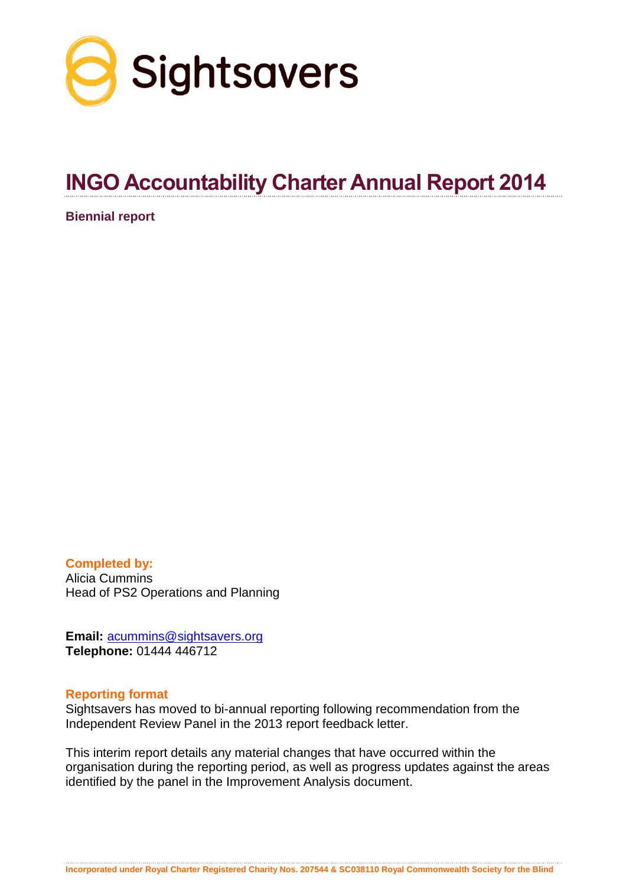

# **INGO Accountability Charter Annual Report 2014**

**Biennial report**

**Completed by:** Alicia Cummins Head of PS2 Operations and Planning

**Email:** [acummins@sightsavers.org](mailto:acummins@sightsavers.org) **Telephone:** 01444 446712

#### **Reporting format**

Sightsavers has moved to bi-annual reporting following recommendation from the Independent Review Panel in the 2013 report feedback letter.

This interim report details any material changes that have occurred within the organisation during the reporting period, as well as progress updates against the areas identified by the panel in the Improvement Analysis document.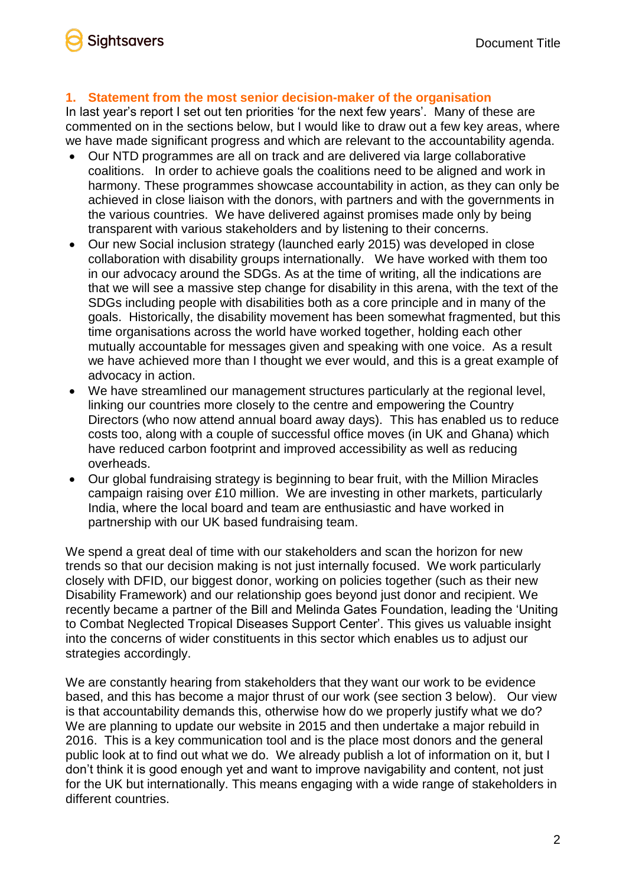### **1. Statement from the most senior decision-maker of the organisation**

In last year's report I set out ten priorities 'for the next few years'. Many of these are commented on in the sections below, but I would like to draw out a few key areas, where we have made significant progress and which are relevant to the accountability agenda.

- Our NTD programmes are all on track and are delivered via large collaborative coalitions. In order to achieve goals the coalitions need to be aligned and work in harmony. These programmes showcase accountability in action, as they can only be achieved in close liaison with the donors, with partners and with the governments in the various countries. We have delivered against promises made only by being transparent with various stakeholders and by listening to their concerns.
- Our new Social inclusion strategy (launched early 2015) was developed in close collaboration with disability groups internationally. We have worked with them too in our advocacy around the SDGs. As at the time of writing, all the indications are that we will see a massive step change for disability in this arena, with the text of the SDGs including people with disabilities both as a core principle and in many of the goals. Historically, the disability movement has been somewhat fragmented, but this time organisations across the world have worked together, holding each other mutually accountable for messages given and speaking with one voice. As a result we have achieved more than I thought we ever would, and this is a great example of advocacy in action.
- We have streamlined our management structures particularly at the regional level, linking our countries more closely to the centre and empowering the Country Directors (who now attend annual board away days). This has enabled us to reduce costs too, along with a couple of successful office moves (in UK and Ghana) which have reduced carbon footprint and improved accessibility as well as reducing overheads.
- Our global fundraising strategy is beginning to bear fruit, with the Million Miracles campaign raising over £10 million. We are investing in other markets, particularly India, where the local board and team are enthusiastic and have worked in partnership with our UK based fundraising team.

We spend a great deal of time with our stakeholders and scan the horizon for new trends so that our decision making is not just internally focused. We work particularly closely with DFID, our biggest donor, working on policies together (such as their new Disability Framework) and our relationship goes beyond just donor and recipient. We recently became a partner of the Bill and Melinda Gates Foundation, leading the 'Uniting to Combat Neglected Tropical Diseases Support Center'. This gives us valuable insight into the concerns of wider constituents in this sector which enables us to adjust our strategies accordingly.

We are constantly hearing from stakeholders that they want our work to be evidence based, and this has become a major thrust of our work (see section 3 below). Our view is that accountability demands this, otherwise how do we properly justify what we do? We are planning to update our website in 2015 and then undertake a major rebuild in 2016. This is a key communication tool and is the place most donors and the general public look at to find out what we do. We already publish a lot of information on it, but I don't think it is good enough yet and want to improve navigability and content, not just for the UK but internationally. This means engaging with a wide range of stakeholders in different countries.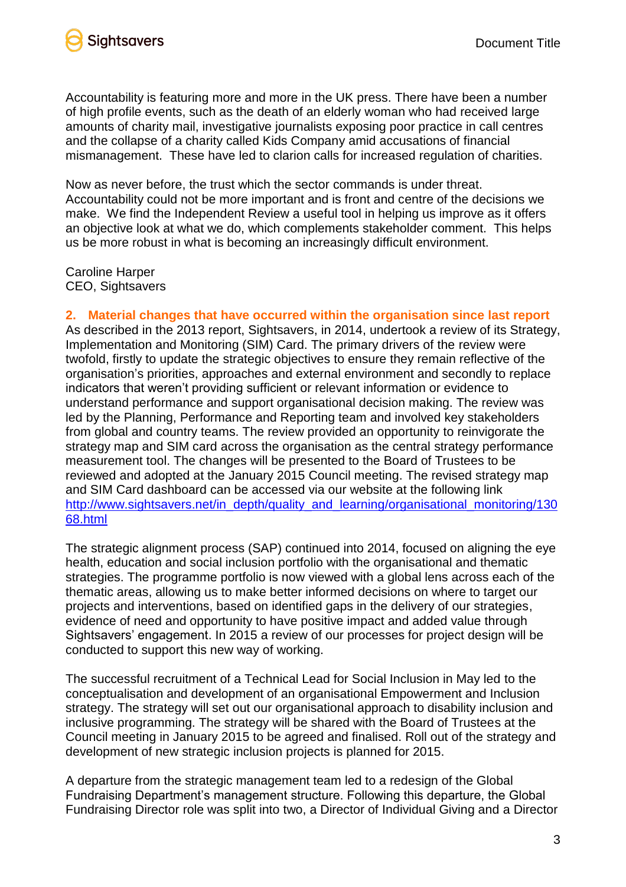

Accountability is featuring more and more in the UK press. There have been a number of high profile events, such as the death of an elderly woman who had received large amounts of charity mail, investigative journalists exposing poor practice in call centres and the collapse of a charity called Kids Company amid accusations of financial mismanagement. These have led to clarion calls for increased regulation of charities.

Now as never before, the trust which the sector commands is under threat. Accountability could not be more important and is front and centre of the decisions we make. We find the Independent Review a useful tool in helping us improve as it offers an objective look at what we do, which complements stakeholder comment. This helps us be more robust in what is becoming an increasingly difficult environment.

Caroline Harper CEO, Sightsavers

**2. Material changes that have occurred within the organisation since last report**

As described in the 2013 report, Sightsavers, in 2014, undertook a review of its Strategy, Implementation and Monitoring (SIM) Card. The primary drivers of the review were twofold, firstly to update the strategic objectives to ensure they remain reflective of the organisation's priorities, approaches and external environment and secondly to replace indicators that weren't providing sufficient or relevant information or evidence to understand performance and support organisational decision making. The review was led by the Planning, Performance and Reporting team and involved key stakeholders from global and country teams. The review provided an opportunity to reinvigorate the strategy map and SIM card across the organisation as the central strategy performance measurement tool. The changes will be presented to the Board of Trustees to be reviewed and adopted at the January 2015 Council meeting. The revised strategy map and SIM Card dashboard can be accessed via our website at the following link [http://www.sightsavers.net/in\\_depth/quality\\_and\\_learning/organisational\\_monitoring/130](http://www.sightsavers.net/in_depth/quality_and_learning/organisational_monitoring/13068.html) [68.html](http://www.sightsavers.net/in_depth/quality_and_learning/organisational_monitoring/13068.html)

The strategic alignment process (SAP) continued into 2014, focused on aligning the eye health, education and social inclusion portfolio with the organisational and thematic strategies. The programme portfolio is now viewed with a global lens across each of the thematic areas, allowing us to make better informed decisions on where to target our projects and interventions, based on identified gaps in the delivery of our strategies, evidence of need and opportunity to have positive impact and added value through Sightsavers' engagement. In 2015 a review of our processes for project design will be conducted to support this new way of working.

The successful recruitment of a Technical Lead for Social Inclusion in May led to the conceptualisation and development of an organisational Empowerment and Inclusion strategy. The strategy will set out our organisational approach to disability inclusion and inclusive programming. The strategy will be shared with the Board of Trustees at the Council meeting in January 2015 to be agreed and finalised. Roll out of the strategy and development of new strategic inclusion projects is planned for 2015.

A departure from the strategic management team led to a redesign of the Global Fundraising Department's management structure. Following this departure, the Global Fundraising Director role was split into two, a Director of Individual Giving and a Director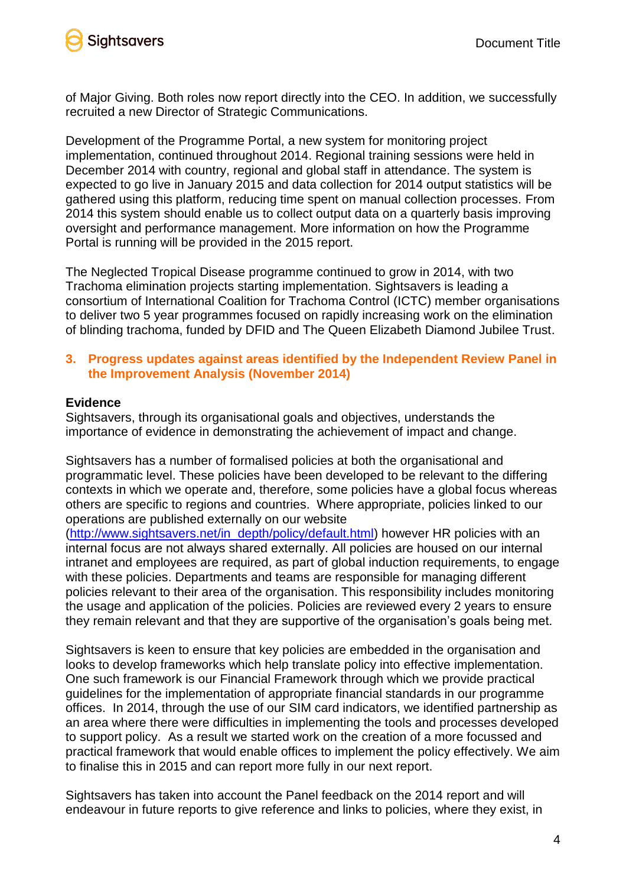

of Major Giving. Both roles now report directly into the CEO. In addition, we successfully recruited a new Director of Strategic Communications.

Development of the Programme Portal, a new system for monitoring project implementation, continued throughout 2014. Regional training sessions were held in December 2014 with country, regional and global staff in attendance. The system is expected to go live in January 2015 and data collection for 2014 output statistics will be gathered using this platform, reducing time spent on manual collection processes. From 2014 this system should enable us to collect output data on a quarterly basis improving oversight and performance management. More information on how the Programme Portal is running will be provided in the 2015 report.

The Neglected Tropical Disease programme continued to grow in 2014, with two Trachoma elimination projects starting implementation. Sightsavers is leading a consortium of International Coalition for Trachoma Control (ICTC) member organisations to deliver two 5 year programmes focused on rapidly increasing work on the elimination of blinding trachoma, funded by DFID and The Queen Elizabeth Diamond Jubilee Trust.

## **3. Progress updates against areas identified by the Independent Review Panel in the Improvement Analysis (November 2014)**

#### **Evidence**

Sightsavers, through its organisational goals and objectives, understands the importance of evidence in demonstrating the achievement of impact and change.

Sightsavers has a number of formalised policies at both the organisational and programmatic level. These policies have been developed to be relevant to the differing contexts in which we operate and, therefore, some policies have a global focus whereas others are specific to regions and countries. Where appropriate, policies linked to our operations are published externally on our website

[\(http://www.sightsavers.net/in\\_depth/policy/default.html\)](http://www.sightsavers.net/in_depth/policy/default.html) however HR policies with an internal focus are not always shared externally. All policies are housed on our internal intranet and employees are required, as part of global induction requirements, to engage with these policies. Departments and teams are responsible for managing different policies relevant to their area of the organisation. This responsibility includes monitoring the usage and application of the policies. Policies are reviewed every 2 years to ensure they remain relevant and that they are supportive of the organisation's goals being met.

Sightsavers is keen to ensure that key policies are embedded in the organisation and looks to develop frameworks which help translate policy into effective implementation. One such framework is our Financial Framework through which we provide practical guidelines for the implementation of appropriate financial standards in our programme offices. In 2014, through the use of our SIM card indicators, we identified partnership as an area where there were difficulties in implementing the tools and processes developed to support policy. As a result we started work on the creation of a more focussed and practical framework that would enable offices to implement the policy effectively. We aim to finalise this in 2015 and can report more fully in our next report.

Sightsavers has taken into account the Panel feedback on the 2014 report and will endeavour in future reports to give reference and links to policies, where they exist, in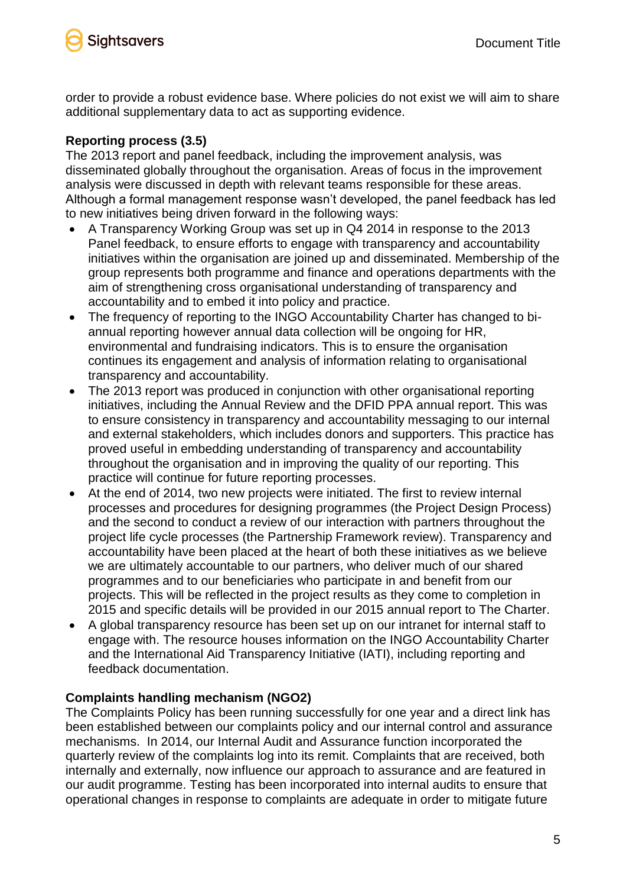

order to provide a robust evidence base. Where policies do not exist we will aim to share additional supplementary data to act as supporting evidence.

## **Reporting process (3.5)**

The 2013 report and panel feedback, including the improvement analysis, was disseminated globally throughout the organisation. Areas of focus in the improvement analysis were discussed in depth with relevant teams responsible for these areas. Although a formal management response wasn't developed, the panel feedback has led to new initiatives being driven forward in the following ways:

- A Transparency Working Group was set up in Q4 2014 in response to the 2013 Panel feedback, to ensure efforts to engage with transparency and accountability initiatives within the organisation are joined up and disseminated. Membership of the group represents both programme and finance and operations departments with the aim of strengthening cross organisational understanding of transparency and accountability and to embed it into policy and practice.
- The frequency of reporting to the INGO Accountability Charter has changed to biannual reporting however annual data collection will be ongoing for HR, environmental and fundraising indicators. This is to ensure the organisation continues its engagement and analysis of information relating to organisational transparency and accountability.
- The 2013 report was produced in conjunction with other organisational reporting initiatives, including the Annual Review and the DFID PPA annual report. This was to ensure consistency in transparency and accountability messaging to our internal and external stakeholders, which includes donors and supporters. This practice has proved useful in embedding understanding of transparency and accountability throughout the organisation and in improving the quality of our reporting. This practice will continue for future reporting processes.
- At the end of 2014, two new projects were initiated. The first to review internal processes and procedures for designing programmes (the Project Design Process) and the second to conduct a review of our interaction with partners throughout the project life cycle processes (the Partnership Framework review). Transparency and accountability have been placed at the heart of both these initiatives as we believe we are ultimately accountable to our partners, who deliver much of our shared programmes and to our beneficiaries who participate in and benefit from our projects. This will be reflected in the project results as they come to completion in 2015 and specific details will be provided in our 2015 annual report to The Charter.
- A global transparency resource has been set up on our intranet for internal staff to engage with. The resource houses information on the INGO Accountability Charter and the International Aid Transparency Initiative (IATI), including reporting and feedback documentation.

## **Complaints handling mechanism (NGO2)**

The Complaints Policy has been running successfully for one year and a direct link has been established between our complaints policy and our internal control and assurance mechanisms. In 2014, our Internal Audit and Assurance function incorporated the quarterly review of the complaints log into its remit. Complaints that are received, both internally and externally, now influence our approach to assurance and are featured in our audit programme. Testing has been incorporated into internal audits to ensure that operational changes in response to complaints are adequate in order to mitigate future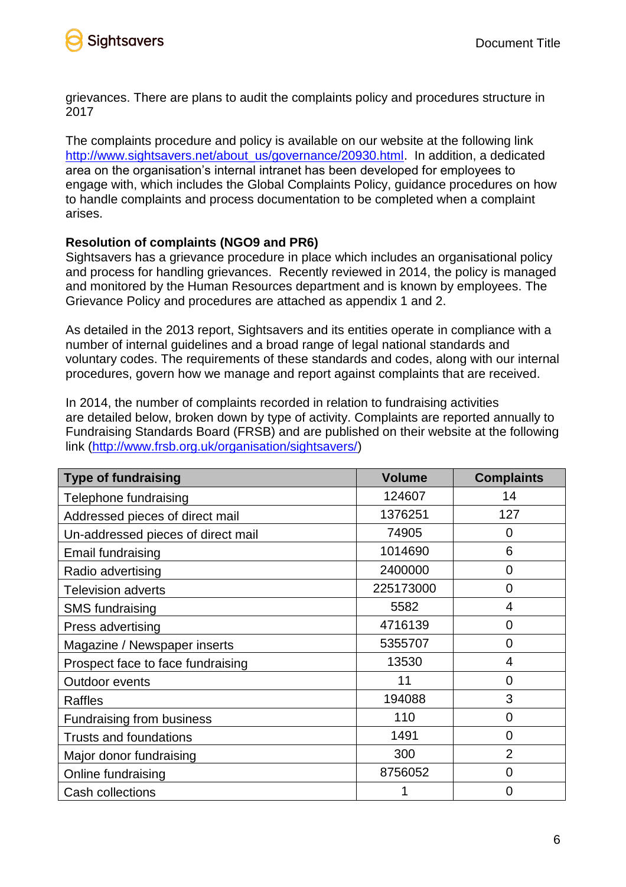

grievances. There are plans to audit the complaints policy and procedures structure in 2017

The complaints procedure and policy is available on our website at the following link [http://www.sightsavers.net/about\\_us/governance/20930.html.](http://www.sightsavers.net/about_us/governance/20930.html) In addition, a dedicated area on the organisation's internal intranet has been developed for employees to engage with, which includes the Global Complaints Policy, guidance procedures on how to handle complaints and process documentation to be completed when a complaint arises.

## **Resolution of complaints (NGO9 and PR6)**

Sightsavers has a grievance procedure in place which includes an organisational policy and process for handling grievances. Recently reviewed in 2014, the policy is managed and monitored by the Human Resources department and is known by employees. The Grievance Policy and procedures are attached as appendix 1 and 2.

As detailed in the 2013 report, Sightsavers and its entities operate in compliance with a number of internal guidelines and a broad range of legal national standards and voluntary codes. The requirements of these standards and codes, along with our internal procedures, govern how we manage and report against complaints that are received.

In 2014, the number of complaints recorded in relation to fundraising activities are detailed below, broken down by type of activity. Complaints are reported annually to Fundraising Standards Board (FRSB) and are published on their website at the following link [\(http://www.frsb.org.uk/organisation/sightsavers/\)](http://www.frsb.org.uk/organisation/sightsavers/)

| <b>Type of fundraising</b>         | <b>Volume</b> | <b>Complaints</b> |
|------------------------------------|---------------|-------------------|
| Telephone fundraising              | 124607        | 14                |
| Addressed pieces of direct mail    | 1376251       | 127               |
| Un-addressed pieces of direct mail | 74905         | 0                 |
| <b>Email fundraising</b>           | 1014690       | 6                 |
| Radio advertising                  | 2400000       | $\overline{0}$    |
| <b>Television adverts</b>          | 225173000     | $\overline{0}$    |
| <b>SMS fundraising</b>             | 5582          | 4                 |
| Press advertising                  | 4716139       | $\overline{0}$    |
| Magazine / Newspaper inserts       | 5355707       | 0                 |
| Prospect face to face fundraising  | 13530         | 4                 |
| <b>Outdoor events</b>              | 11            | 0                 |
| <b>Raffles</b>                     | 194088        | 3                 |
| <b>Fundraising from business</b>   | 110           | $\overline{0}$    |
| <b>Trusts and foundations</b>      | 1491          | $\overline{0}$    |
| Major donor fundraising            | 300           | $\overline{2}$    |
| Online fundraising                 | 8756052       | $\overline{0}$    |
| Cash collections                   |               | $\overline{0}$    |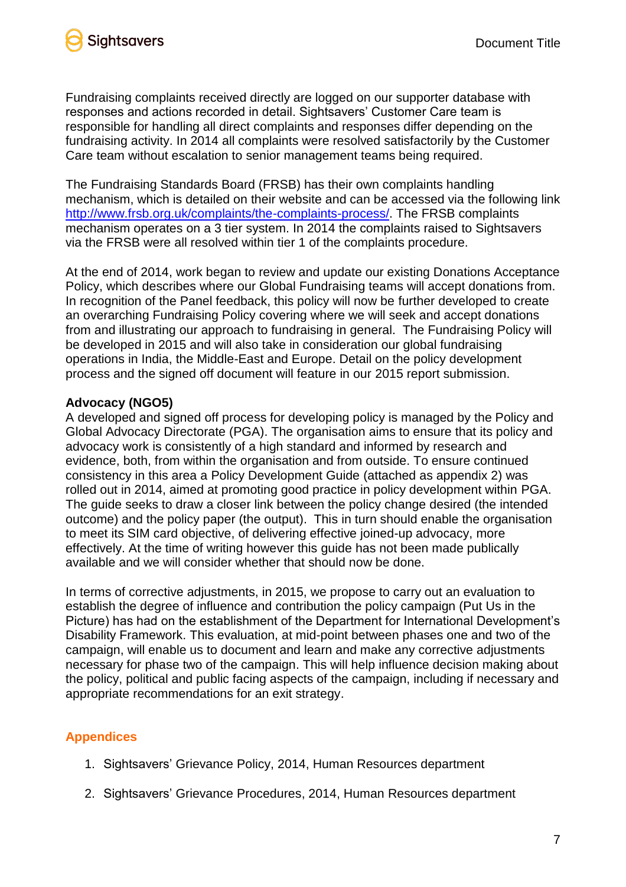

Fundraising complaints received directly are logged on our supporter database with responses and actions recorded in detail. Sightsavers' Customer Care team is responsible for handling all direct complaints and responses differ depending on the fundraising activity. In 2014 all complaints were resolved satisfactorily by the Customer Care team without escalation to senior management teams being required.

The Fundraising Standards Board (FRSB) has their own complaints handling mechanism, which is detailed on their website and can be accessed via the following link [http://www.frsb.org.uk/complaints/the-complaints-process/.](http://www.frsb.org.uk/complaints/the-complaints-process/) The FRSB complaints mechanism operates on a 3 tier system. In 2014 the complaints raised to Sightsavers via the FRSB were all resolved within tier 1 of the complaints procedure.

At the end of 2014, work began to review and update our existing Donations Acceptance Policy, which describes where our Global Fundraising teams will accept donations from. In recognition of the Panel feedback, this policy will now be further developed to create an overarching Fundraising Policy covering where we will seek and accept donations from and illustrating our approach to fundraising in general. The Fundraising Policy will be developed in 2015 and will also take in consideration our global fundraising operations in India, the Middle-East and Europe. Detail on the policy development process and the signed off document will feature in our 2015 report submission.

## **Advocacy (NGO5)**

A developed and signed off process for developing policy is managed by the Policy and Global Advocacy Directorate (PGA). The organisation aims to ensure that its policy and advocacy work is consistently of a high standard and informed by research and evidence, both, from within the organisation and from outside. To ensure continued consistency in this area a Policy Development Guide (attached as appendix 2) was rolled out in 2014, aimed at promoting good practice in policy development within PGA. The guide seeks to draw a closer link between the policy change desired (the intended outcome) and the policy paper (the output). This in turn should enable the organisation to meet its SIM card objective, of delivering effective joined-up advocacy, more effectively. At the time of writing however this guide has not been made publically available and we will consider whether that should now be done.

In terms of corrective adjustments, in 2015, we propose to carry out an evaluation to establish the degree of influence and contribution the policy campaign (Put Us in the Picture) has had on the establishment of the Department for International Development's Disability Framework. This evaluation, at mid-point between phases one and two of the campaign, will enable us to document and learn and make any corrective adjustments necessary for phase two of the campaign. This will help influence decision making about the policy, political and public facing aspects of the campaign, including if necessary and appropriate recommendations for an exit strategy.

# **Appendices**

- 1. Sightsavers' Grievance Policy, 2014, Human Resources department
- 2. Sightsavers' Grievance Procedures, 2014, Human Resources department